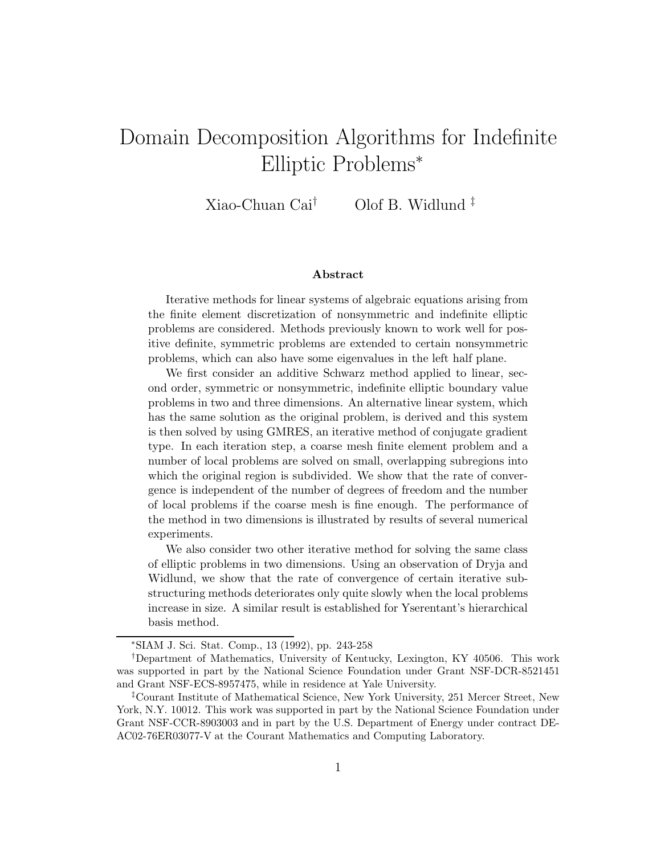# Domain Decomposition Algorithms for Indefinite Elliptic Problems<sup>∗</sup>

Xiao-Chuan Cai† Olof B. Widlund ‡

#### **Abstract**

Iterative methods for linear systems of algebraic equations arising from the finite element discretization of nonsymmetric and indefinite elliptic problems are considered. Methods previously known to work well for positive definite, symmetric problems are extended to certain nonsymmetric problems, which can also have some eigenvalues in the left half plane.

We first consider an additive Schwarz method applied to linear, second order, symmetric or nonsymmetric, indefinite elliptic boundary value problems in two and three dimensions. An alternative linear system, which has the same solution as the original problem, is derived and this system is then solved by using GMRES, an iterative method of conjugate gradient type. In each iteration step, a coarse mesh finite element problem and a number of local problems are solved on small, overlapping subregions into which the original region is subdivided. We show that the rate of convergence is independent of the number of degrees of freedom and the number of local problems if the coarse mesh is fine enough. The performance of the method in two dimensions is illustrated by results of several numerical experiments.

We also consider two other iterative method for solving the same class of elliptic problems in two dimensions. Using an observation of Dryja and Widlund, we show that the rate of convergence of certain iterative substructuring methods deteriorates only quite slowly when the local problems increase in size. A similar result is established for Yserentant's hierarchical basis method.

<sup>∗</sup>SIAM J. Sci. Stat. Comp., 13 (1992), pp. 243-258

<sup>†</sup>Department of Mathematics, University of Kentucky, Lexington, KY 40506. This work was supported in part by the National Science Foundation under Grant NSF-DCR-8521451 and Grant NSF-ECS-8957475, while in residence at Yale University.

<sup>‡</sup>Courant Institute of Mathematical Science, New York University, 251 Mercer Street, New York, N.Y. 10012. This work was supported in part by the National Science Foundation under Grant NSF-CCR-8903003 and in part by the U.S. Department of Energy under contract DE-AC02-76ER03077-V at the Courant Mathematics and Computing Laboratory.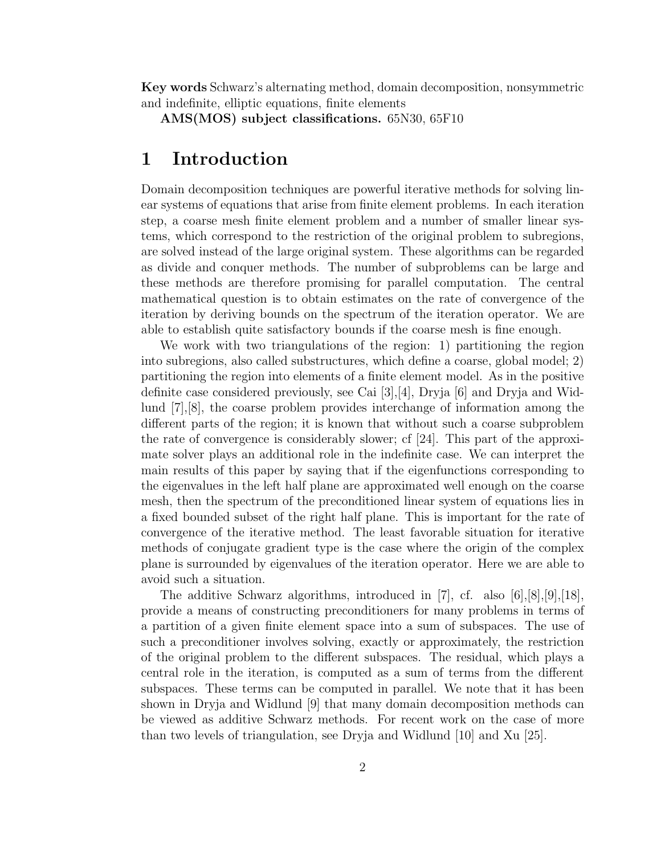**Key words** Schwarz's alternating method, domain decomposition, nonsymmetric and indefinite, elliptic equations, finite elements

**AMS(MOS) subject classifications.** 65N30, 65F10

## **1 Introduction**

Domain decomposition techniques are powerful iterative methods for solving linear systems of equations that arise from finite element problems. In each iteration step, a coarse mesh finite element problem and a number of smaller linear systems, which correspond to the restriction of the original problem to subregions, are solved instead of the large original system. These algorithms can be regarded as divide and conquer methods. The number of subproblems can be large and these methods are therefore promising for parallel computation. The central mathematical question is to obtain estimates on the rate of convergence of the iteration by deriving bounds on the spectrum of the iteration operator. We are able to establish quite satisfactory bounds if the coarse mesh is fine enough.

We work with two triangulations of the region: 1) partitioning the region into subregions, also called substructures, which define a coarse, global model; 2) partitioning the region into elements of a finite element model. As in the positive definite case considered previously, see Cai [3],[4], Dryja [6] and Dryja and Widlund [7],[8], the coarse problem provides interchange of information among the different parts of the region; it is known that without such a coarse subproblem the rate of convergence is considerably slower; cf [24]. This part of the approximate solver plays an additional role in the indefinite case. We can interpret the main results of this paper by saying that if the eigenfunctions corresponding to the eigenvalues in the left half plane are approximated well enough on the coarse mesh, then the spectrum of the preconditioned linear system of equations lies in a fixed bounded subset of the right half plane. This is important for the rate of convergence of the iterative method. The least favorable situation for iterative methods of conjugate gradient type is the case where the origin of the complex plane is surrounded by eigenvalues of the iteration operator. Here we are able to avoid such a situation.

The additive Schwarz algorithms, introduced in [7], cf. also [6],[8],[9],[18], provide a means of constructing preconditioners for many problems in terms of a partition of a given finite element space into a sum of subspaces. The use of such a preconditioner involves solving, exactly or approximately, the restriction of the original problem to the different subspaces. The residual, which plays a central role in the iteration, is computed as a sum of terms from the different subspaces. These terms can be computed in parallel. We note that it has been shown in Dryja and Widlund [9] that many domain decomposition methods can be viewed as additive Schwarz methods. For recent work on the case of more than two levels of triangulation, see Dryja and Widlund [10] and Xu [25].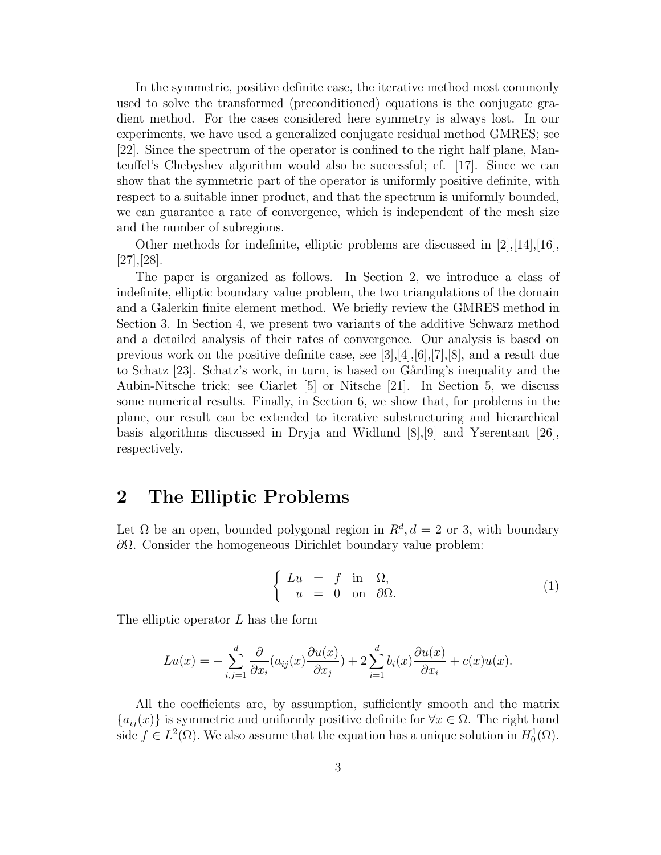In the symmetric, positive definite case, the iterative method most commonly used to solve the transformed (preconditioned) equations is the conjugate gradient method. For the cases considered here symmetry is always lost. In our experiments, we have used a generalized conjugate residual method GMRES; see [22]. Since the spectrum of the operator is confined to the right half plane, Manteuffel's Chebyshev algorithm would also be successful; cf. [17]. Since we can show that the symmetric part of the operator is uniformly positive definite, with respect to a suitable inner product, and that the spectrum is uniformly bounded, we can guarantee a rate of convergence, which is independent of the mesh size and the number of subregions.

Other methods for indefinite, elliptic problems are discussed in  $[2], [14], [16],$ [27],[28].

The paper is organized as follows. In Section 2, we introduce a class of indefinite, elliptic boundary value problem, the two triangulations of the domain and a Galerkin finite element method. We briefly review the GMRES method in Section 3. In Section 4, we present two variants of the additive Schwarz method and a detailed analysis of their rates of convergence. Our analysis is based on previous work on the positive definite case, see [3],[4],[6],[7],[8], and a result due to Schatz [23]. Schatz's work, in turn, is based on Gårding's inequality and the Aubin-Nitsche trick; see Ciarlet [5] or Nitsche [21]. In Section 5, we discuss some numerical results. Finally, in Section 6, we show that, for problems in the plane, our result can be extended to iterative substructuring and hierarchical basis algorithms discussed in Dryja and Widlund [8],[9] and Yserentant [26], respectively.

#### **2 The Elliptic Problems**

Let  $\Omega$  be an open, bounded polygonal region in  $R^d$ ,  $d = 2$  or 3, with boundary ∂Ω. Consider the homogeneous Dirichlet boundary value problem:

$$
\begin{cases}\nLu &= f \text{ in } \Omega, \\
u &= 0 \text{ on } \partial\Omega.\n\end{cases}
$$
\n(1)

The elliptic operator L has the form

$$
Lu(x) = -\sum_{i,j=1}^d \frac{\partial}{\partial x_i} (a_{ij}(x) \frac{\partial u(x)}{\partial x_j}) + 2 \sum_{i=1}^d b_i(x) \frac{\partial u(x)}{\partial x_i} + c(x)u(x).
$$

All the coefficients are, by assumption, sufficiently smooth and the matrix  ${a_{ij}(x)}$  is symmetric and uniformly positive definite for  $\forall x \in \Omega$ . The right hand side  $f \in L^2(\Omega)$ . We also assume that the equation has a unique solution in  $H_0^1(\Omega)$ .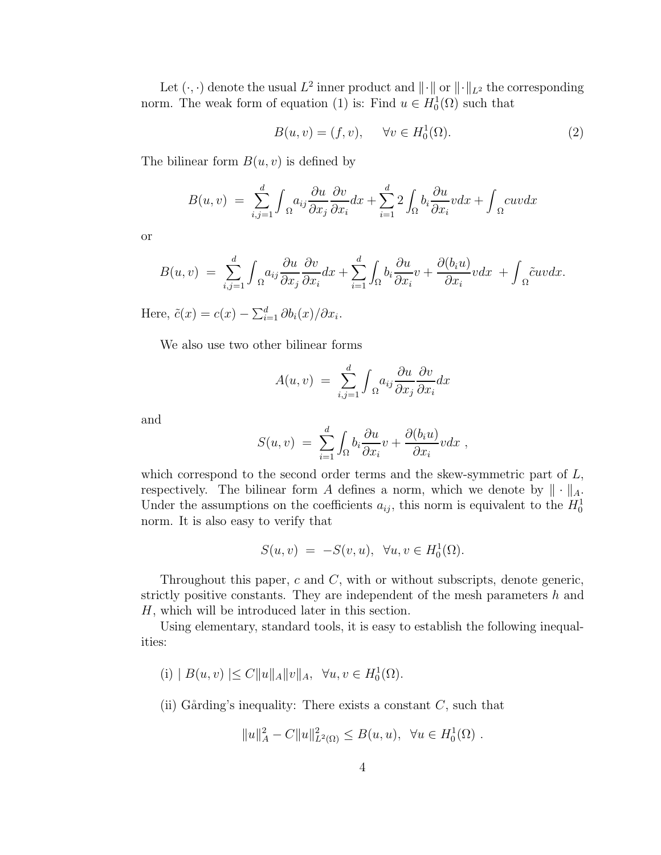Let  $(\cdot, \cdot)$  denote the usual  $L^2$  inner product and  $\|\cdot\|$  or  $\|\cdot\|_{L^2}$  the corresponding norm. The weak form of equation (1) is: Find  $u \in H_0^1(\Omega)$  such that

$$
B(u, v) = (f, v), \quad \forall v \in H_0^1(\Omega). \tag{2}
$$

The bilinear form  $B(u, v)$  is defined by

$$
B(u, v) = \sum_{i,j=1}^{d} \int_{\Omega} a_{ij} \frac{\partial u}{\partial x_j} \frac{\partial v}{\partial x_i} dx + \sum_{i=1}^{d} 2 \int_{\Omega} b_i \frac{\partial u}{\partial x_i} v dx + \int_{\Omega} cuv dx
$$

or

$$
B(u,v) = \sum_{i,j=1}^d \int_{\Omega} a_{ij} \frac{\partial u}{\partial x_j} \frac{\partial v}{\partial x_i} dx + \sum_{i=1}^d \int_{\Omega} b_i \frac{\partial u}{\partial x_i} v + \frac{\partial (b_i u)}{\partial x_i} v dx + \int_{\Omega} \tilde{c}uv dx.
$$

Here,  $\tilde{c}(x) = c(x) - \sum_{i=1}^{d} \partial b_i(x) / \partial x_i$ .

We also use two other bilinear forms

$$
A(u, v) = \sum_{i,j=1}^{d} \int_{\Omega} a_{ij} \frac{\partial u}{\partial x_j} \frac{\partial v}{\partial x_i} dx
$$

and

$$
S(u, v) = \sum_{i=1}^d \int_{\Omega} b_i \frac{\partial u}{\partial x_i} v + \frac{\partial (b_i u)}{\partial x_i} v dx ,
$$

which correspond to the second order terms and the skew-symmetric part of  $L$ , respectively. The bilinear form A defines a norm, which we denote by  $\|\cdot\|_A$ . Under the assumptions on the coefficients  $a_{ij}$ , this norm is equivalent to the  $H_0^1$ norm. It is also easy to verify that

$$
S(u, v) = -S(v, u), \quad \forall u, v \in H_0^1(\Omega).
$$

Throughout this paper,  $c$  and  $C$ , with or without subscripts, denote generic, strictly positive constants. They are independent of the mesh parameters  $h$  and H, which will be introduced later in this section.

Using elementary, standard tools, it is easy to establish the following inequalities:

- $(i) | B(u, v)| \leq C ||u||_A ||v||_A, \forall u, v \in H_0^1(\Omega).$
- (ii) Gårding's inequality: There exists a constant  $C$ , such that

$$
||u||_A^2 - C||u||_{L^2(\Omega)}^2 \le B(u, u), \ \forall u \in H_0^1(\Omega).
$$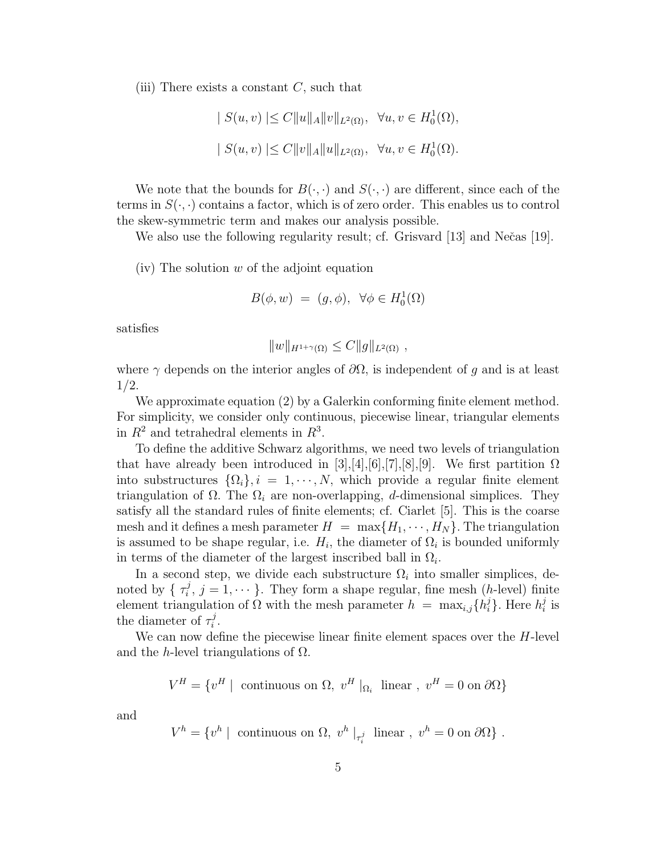(iii) There exists a constant  $C$ , such that

$$
|S(u, v)| \le C ||u||_A ||v||_{L^2(\Omega)}, \quad \forall u, v \in H_0^1(\Omega),
$$
  
 $|S(u, v)| \le C ||v||_A ||u||_{L^2(\Omega)}, \quad \forall u, v \in H_0^1(\Omega).$ 

We note that the bounds for  $B(\cdot, \cdot)$  and  $S(\cdot, \cdot)$  are different, since each of the terms in  $S(\cdot, \cdot)$  contains a factor, which is of zero order. This enables us to control the skew-symmetric term and makes our analysis possible.

We also use the following regularity result; cf. Grisvard  $[13]$  and Nečas  $[19]$ .

(iv) The solution  $w$  of the adjoint equation

$$
B(\phi, w) = (g, \phi), \ \forall \phi \in H_0^1(\Omega)
$$

satisfies

$$
||w||_{H^{1+\gamma}(\Omega)} \leq C ||g||_{L^2(\Omega)},
$$

where  $\gamma$  depends on the interior angles of  $\partial\Omega$ , is independent of g and is at least 1/2.

We approximate equation (2) by a Galerkin conforming finite element method. For simplicity, we consider only continuous, piecewise linear, triangular elements in  $R^2$  and tetrahedral elements in  $R^3$ .

To define the additive Schwarz algorithms, we need two levels of triangulation that have already been introduced in [3],[4],[6],[7],[8],[9]. We first partition  $\Omega$ into substructures  $\{\Omega_i\}, i = 1, \dots, N$ , which provide a regular finite element triangulation of  $\Omega$ . The  $\Omega_i$  are non-overlapping, d-dimensional simplices. They satisfy all the standard rules of finite elements; cf. Ciarlet [5]. This is the coarse mesh and it defines a mesh parameter  $H = \max\{H_1, \cdots, H_N\}$ . The triangulation is assumed to be shape regular, i.e.  $H_i$ , the diameter of  $\Omega_i$  is bounded uniformly in terms of the diameter of the largest inscribed ball in  $\Omega_i$ .

In a second step, we divide each substructure  $\Omega_i$  into smaller simplices, denoted by  $\{\tau_i^j, j = 1, \dots\}$ . They form a shape regular, fine mesh (h-level) finite element triangulation of  $\Omega$  with the mesh parameter  $h = \max_{i,j} \{h_i^j\}$ . Here  $h_i^j$  is the diameter of  $\tau_i^j$ .

We can now define the piecewise linear finite element spaces over the H-level and the h-level triangulations of  $\Omega$ .

$$
V^H = \{v^H \mid \text{ continuous on } \Omega, v^H |_{\Omega_i} \text{ linear}, v^H = 0 \text{ on } \partial\Omega\}
$$

and

$$
V^h = \{v^h \mid \text{ continuous on } \Omega, v^h \mid_{\tau_i^j} \text{ linear}, v^h = 0 \text{ on } \partial \Omega\} .
$$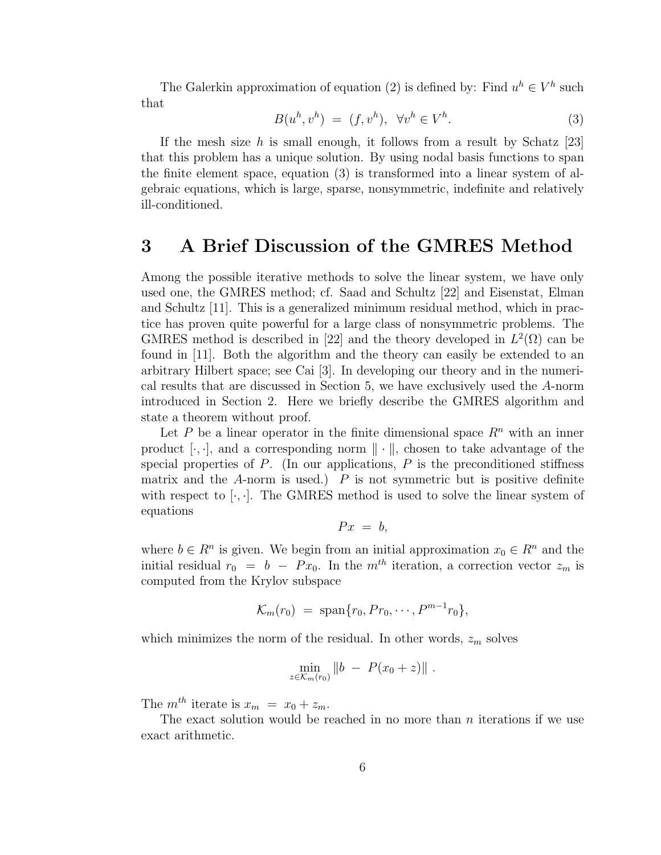The Galerkin approximation of equation (2) is defined by: Find  $u^h \in V^h$  such that

$$
B(u^h, v^h) = (f, v^h), \quad \forall v^h \in V^h. \tag{3}
$$

If the mesh size h is small enough, it follows from a result by Schatz  $[23]$ that this problem has a unique solution. By using nodal basis functions to span the finite element space, equation (3) is transformed into a linear system of algebraic equations, which is large, sparse, nonsymmetric, indefinite and relatively ill-conditioned.

#### **3 A Brief Discussion of the GMRES Method**

Among the possible iterative methods to solve the linear system, we have only used one, the GMRES method; cf. Saad and Schultz [22] and Eisenstat, Elman and Schultz [11]. This is a generalized minimum residual method, which in practice has proven quite powerful for a large class of nonsymmetric problems. The GMRES method is described in [22] and the theory developed in  $L^2(\Omega)$  can be found in [11]. Both the algorithm and the theory can easily be extended to an arbitrary Hilbert space; see Cai [3]. In developing our theory and in the numerical results that are discussed in Section 5, we have exclusively used the A-norm introduced in Section 2. Here we briefly describe the GMRES algorithm and state a theorem without proof.

Let P be a linear operator in the finite dimensional space  $R<sup>n</sup>$  with an inner product  $[\cdot, \cdot]$ , and a corresponding norm  $\|\cdot\|$ , chosen to take advantage of the special properties of  $P$ . (In our applications,  $P$  is the preconditioned stiffness matrix and the  $A$ -norm is used.)  $P$  is not symmetric but is positive definite with respect to  $[\cdot, \cdot]$ . The GMRES method is used to solve the linear system of equations

$$
Px = b,
$$

where  $b \in \mathbb{R}^n$  is given. We begin from an initial approximation  $x_0 \in \mathbb{R}^n$  and the initial residual  $r_0 = b - Px_0$ . In the  $m^{th}$  iteration, a correction vector  $z_m$  is computed from the Krylov subspace

$$
\mathcal{K}_m(r_0) = \text{span}\{r_0, Pr_0, \cdots, P^{m-1}r_0\},\
$$

which minimizes the norm of the residual. In other words,  $z_m$  solves

$$
\min_{z \in \mathcal{K}_m(r_0)} \|b - P(x_0 + z)\|.
$$

The  $m^{th}$  iterate is  $x_m = x_0 + z_m$ .

The exact solution would be reached in no more than  $n$  iterations if we use exact arithmetic.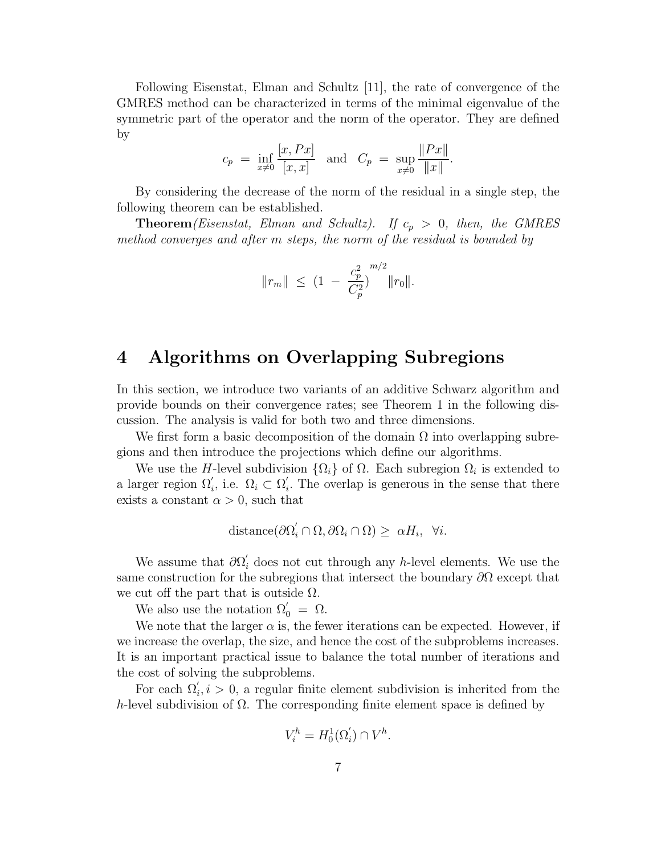Following Eisenstat, Elman and Schultz [11], the rate of convergence of the GMRES method can be characterized in terms of the minimal eigenvalue of the symmetric part of the operator and the norm of the operator. They are defined by

$$
c_p = \inf_{x \neq 0} \frac{[x, Px]}{[x, x]}
$$
 and  $C_p = \sup_{x \neq 0} \frac{\|Px\|}{\|x\|}$ .

By considering the decrease of the norm of the residual in a single step, the following theorem can be established.

**Theorem**(Eisenstat, Elman and Schultz). If  $c_p > 0$ , then, the GMRES method converges and after m steps, the norm of the residual is bounded by

$$
||r_m|| \leq (1 - \frac{c_p^2}{C_p^2})^{m/2} ||r_0||.
$$

# **4 Algorithms on Overlapping Subregions**

In this section, we introduce two variants of an additive Schwarz algorithm and provide bounds on their convergence rates; see Theorem 1 in the following discussion. The analysis is valid for both two and three dimensions.

We first form a basic decomposition of the domain  $\Omega$  into overlapping subregions and then introduce the projections which define our algorithms.

We use the H-level subdivision  $\{\Omega_i\}$  of  $\Omega$ . Each subregion  $\Omega_i$  is extended to a larger region  $\Omega'_i$ , i.e.  $\Omega_i \subset \Omega'_i$ . The overlap is generous in the sense that there exists a constant  $\alpha > 0$ , such that

$$
distance(\partial \Omega_i' \cap \Omega, \partial \Omega_i \cap \Omega) \geq \alpha H_i, \ \forall i.
$$

We assume that  $\partial\Omega_i'$  does not cut through any h-level elements. We use the same construction for the subregions that intersect the boundary  $\partial\Omega$  except that we cut off the part that is outside  $\Omega$ .

We also use the notation  $\Omega'_0 = \Omega$ .

We note that the larger  $\alpha$  is, the fewer iterations can be expected. However, if we increase the overlap, the size, and hence the cost of the subproblems increases. It is an important practical issue to balance the total number of iterations and the cost of solving the subproblems.

For each  $\Omega'_i, i > 0$ , a regular finite element subdivision is inherited from the h-level subdivision of  $\Omega$ . The corresponding finite element space is defined by

$$
V_i^h = H_0^1(\Omega_i') \cap V^h.
$$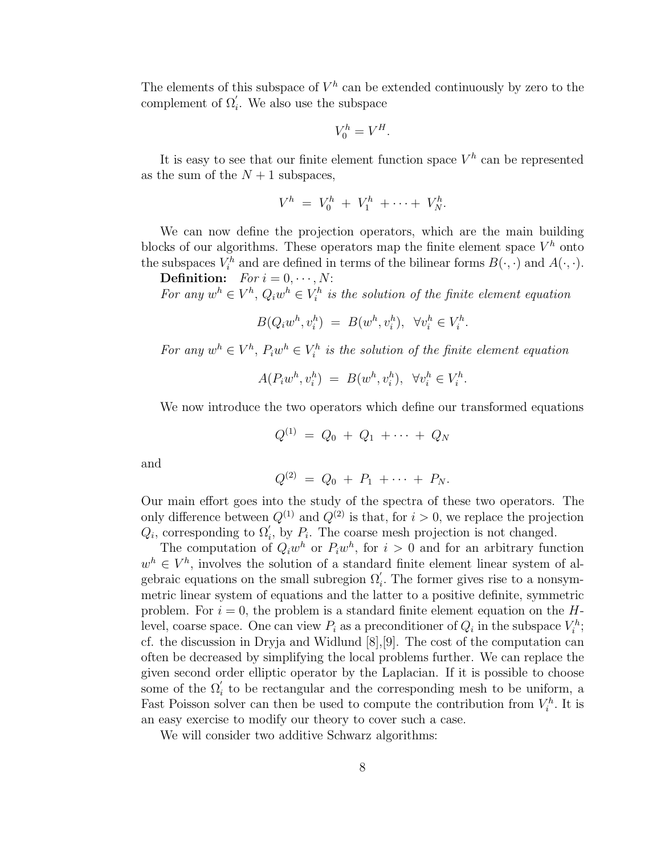The elements of this subspace of  $V^h$  can be extended continuously by zero to the complement of  $\Omega'_i$ . We also use the subspace

$$
V_0^h = V^H.
$$

It is easy to see that our finite element function space  $V^h$  can be represented as the sum of the  $N + 1$  subspaces,

$$
V^h = V_0^h + V_1^h + \cdots + V_N^h.
$$

We can now define the projection operators, which are the main building blocks of our algorithms. These operators map the finite element space  $V^h$  onto the subspaces  $V_i^h$  and are defined in terms of the bilinear forms  $B(\cdot, \cdot)$  and  $A(\cdot, \cdot)$ .

**Definition:**  $For i = 0, \dots, N$ : For any  $w^h \in V^h$ ,  $Q_i w^h \in V_i^h$  is the solution of the finite element equation

$$
B(Q_i w^h, v_i^h) = B(w^h, v_i^h), \quad \forall v_i^h \in V_i^h.
$$

For any  $w^h \in V^h$ ,  $P_i w^h \in V_i^h$  is the solution of the finite element equation

$$
A(P_i w^h, v_i^h) = B(w^h, v_i^h), \quad \forall v_i^h \in V_i^h.
$$

We now introduce the two operators which define our transformed equations

$$
Q^{(1)} = Q_0 + Q_1 + \cdots + Q_N
$$

and

$$
Q^{(2)} = Q_0 + P_1 + \cdots + P_N.
$$

Our main effort goes into the study of the spectra of these two operators. The only difference between  $Q^{(1)}$  and  $Q^{(2)}$  is that, for  $i > 0$ , we replace the projection  $Q_i$ , corresponding to  $\Omega'_i$ , by  $P_i$ . The coarse mesh projection is not changed.

The computation of  $Q_iw^h$  or  $P_iw^h$ , for  $i > 0$  and for an arbitrary function  $w^h \in V^h$ , involves the solution of a standard finite element linear system of algebraic equations on the small subregion  $\Omega_i'$ . The former gives rise to a nonsymmetric linear system of equations and the latter to a positive definite, symmetric problem. For  $i = 0$ , the problem is a standard finite element equation on the  $H$ level, coarse space. One can view  $P_i$  as a preconditioner of  $Q_i$  in the subspace  $V_i^h$ ; cf. the discussion in Dryja and Widlund [8],[9]. The cost of the computation can often be decreased by simplifying the local problems further. We can replace the given second order elliptic operator by the Laplacian. If it is possible to choose some of the  $\Omega_i'$  to be rectangular and the corresponding mesh to be uniform, a Fast Poisson solver can then be used to compute the contribution from  $V_i^h$ . It is an easy exercise to modify our theory to cover such a case.

We will consider two additive Schwarz algorithms: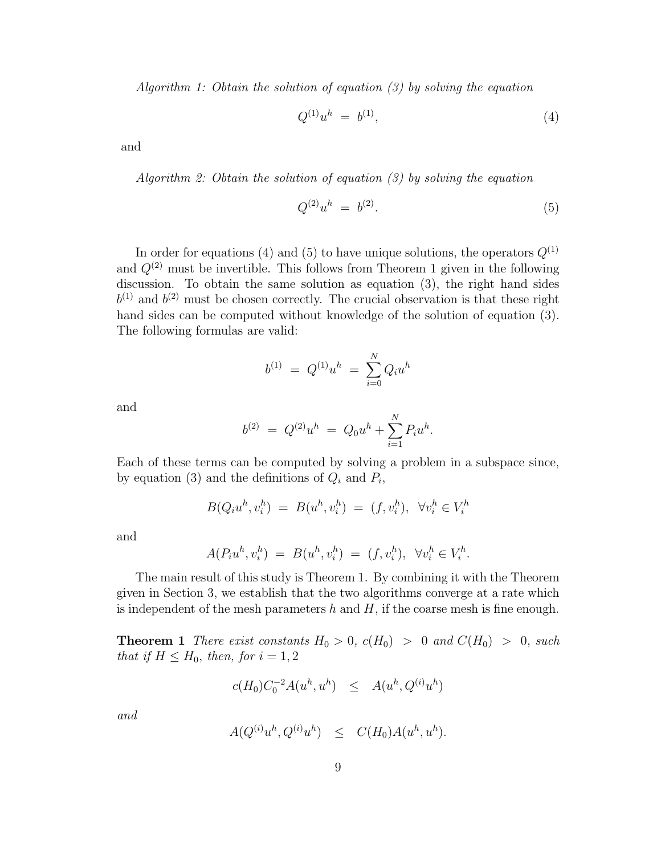Algorithm 1: Obtain the solution of equation (3) by solving the equation

$$
Q^{(1)}u^h = b^{(1)}, \t\t(4)
$$

and

Algorithm 2: Obtain the solution of equation (3) by solving the equation

$$
Q^{(2)}u^h = b^{(2)}.
$$
\n(5)

In order for equations (4) and (5) to have unique solutions, the operators  $Q^{(1)}$ and  $Q^{(2)}$  must be invertible. This follows from Theorem 1 given in the following discussion. To obtain the same solution as equation (3), the right hand sides  $b^{(1)}$  and  $b^{(2)}$  must be chosen correctly. The crucial observation is that these right hand sides can be computed without knowledge of the solution of equation (3). The following formulas are valid:

$$
b^{(1)} = Q^{(1)}u^h = \sum_{i=0}^{N} Q_i u^h
$$

and

$$
b^{(2)} = Q^{(2)}u^h = Q_0u^h + \sum_{i=1}^N P_i u^h.
$$

Each of these terms can be computed by solving a problem in a subspace since, by equation (3) and the definitions of  $Q_i$  and  $P_i$ ,

$$
B(Q_i u^h, v_i^h) = B(u^h, v_i^h) = (f, v_i^h), \ \forall v_i^h \in V_i^h
$$

and

$$
A(P_iu^h, v_i^h) = B(u^h, v_i^h) = (f, v_i^h), \ \forall v_i^h \in V_i^h.
$$

The main result of this study is Theorem 1. By combining it with the Theorem given in Section 3, we establish that the two algorithms converge at a rate which is independent of the mesh parameters h and  $H$ , if the coarse mesh is fine enough.

**Theorem 1** There exist constants  $H_0 > 0$ ,  $c(H_0) > 0$  and  $C(H_0) > 0$ , such that if  $H \leq H_0$ , then, for  $i = 1, 2$ 

$$
c(H_0)C_0^{-2}A(u^h, u^h) \leq A(u^h, Q^{(i)}u^h)
$$

and

$$
A(Q^{(i)}u^h, Q^{(i)}u^h) \leq C(H_0)A(u^h, u^h).
$$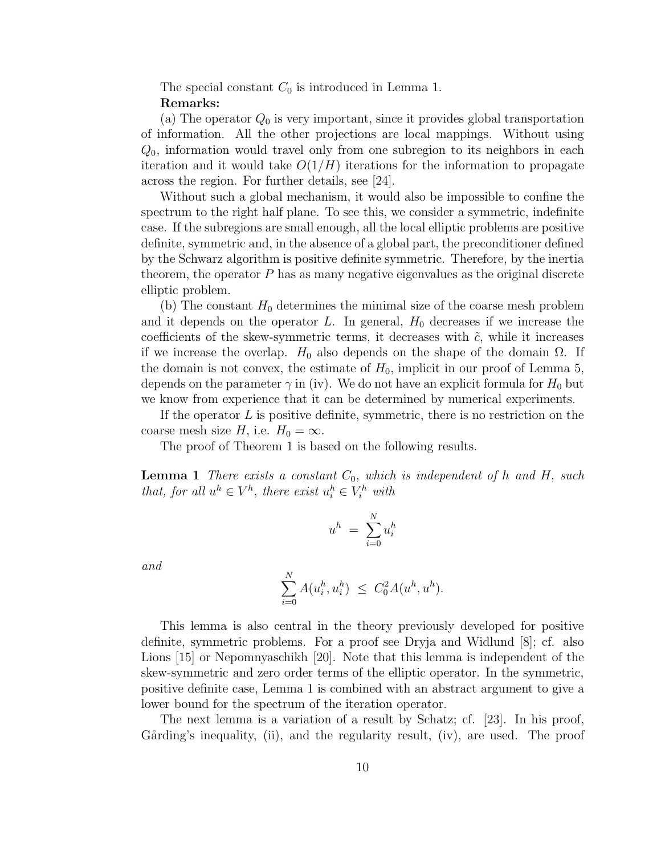The special constant  $C_0$  is introduced in Lemma 1. **Remarks:**

(a) The operator  $Q_0$  is very important, since it provides global transportation of information. All the other projections are local mappings. Without using  $Q_0$ , information would travel only from one subregion to its neighbors in each iteration and it would take  $O(1/H)$  iterations for the information to propagate across the region. For further details, see [24].

Without such a global mechanism, it would also be impossible to confine the spectrum to the right half plane. To see this, we consider a symmetric, indefinite case. If the subregions are small enough, all the local elliptic problems are positive definite, symmetric and, in the absence of a global part, the preconditioner defined by the Schwarz algorithm is positive definite symmetric. Therefore, by the inertia theorem, the operator  $P$  has as many negative eigenvalues as the original discrete elliptic problem.

(b) The constant  $H_0$  determines the minimal size of the coarse mesh problem and it depends on the operator L. In general,  $H_0$  decreases if we increase the coefficients of the skew-symmetric terms, it decreases with  $\tilde{c}$ , while it increases if we increase the overlap.  $H_0$  also depends on the shape of the domain  $\Omega$ . If the domain is not convex, the estimate of  $H_0$ , implicit in our proof of Lemma 5, depends on the parameter  $\gamma$  in (iv). We do not have an explicit formula for  $H_0$  but we know from experience that it can be determined by numerical experiments.

If the operator  $L$  is positive definite, symmetric, there is no restriction on the coarse mesh size H, i.e.  $H_0 = \infty$ .

The proof of Theorem 1 is based on the following results.

**Lemma 1** There exists a constant  $C_0$ , which is independent of h and H, such that, for all  $u^h \in V^h$ , there exist  $u_i^h \in V_i^h$  with

$$
u^h\ =\ \sum_{i=0}^N u_i^h
$$

and

$$
\sum_{i=0}^{N} A(u_i^h, u_i^h) \leq C_0^2 A(u^h, u^h).
$$

This lemma is also central in the theory previously developed for positive definite, symmetric problems. For a proof see Dryja and Widlund [8]; cf. also Lions [15] or Nepomnyaschikh [20]. Note that this lemma is independent of the skew-symmetric and zero order terms of the elliptic operator. In the symmetric, positive definite case, Lemma 1 is combined with an abstract argument to give a lower bound for the spectrum of the iteration operator.

The next lemma is a variation of a result by Schatz; cf. [23]. In his proof, Gårding's inequality, (ii), and the regularity result, (iv), are used. The proof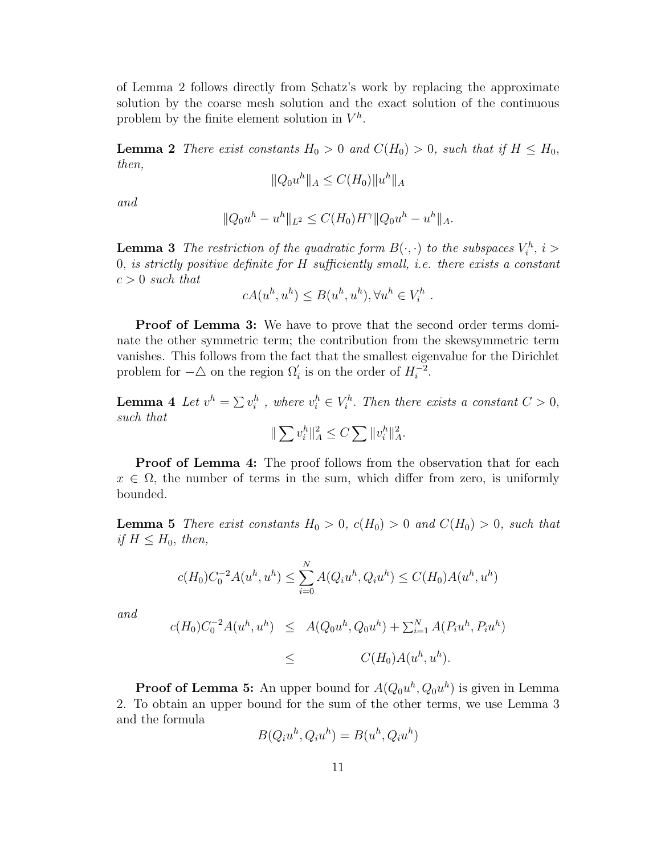of Lemma 2 follows directly from Schatz's work by replacing the approximate solution by the coarse mesh solution and the exact solution of the continuous problem by the finite element solution in  $V^h$ .

**Lemma 2** There exist constants  $H_0 > 0$  and  $C(H_0) > 0$ , such that if  $H \leq H_0$ , then,

$$
||Q_0u^h||_A \le C(H_0)||u^h||_A
$$

and

$$
||Q_0u^h - u^h||_{L^2} \le C(H_0)H^{\gamma}||Q_0u^h - u^h||_A.
$$

**Lemma 3** The restriction of the quadratic form  $B(\cdot, \cdot)$  to the subspaces  $V_i^h$ ,  $i>$ 0, is strictly positive definite for H sufficiently small, i.e. there exists a constant  $c > 0$  such that

$$
cA(u^h, u^h) \le B(u^h, u^h), \forall u^h \in V_i^h.
$$

**Proof of Lemma 3:** We have to prove that the second order terms dominate the other symmetric term; the contribution from the skewsymmetric term vanishes. This follows from the fact that the smallest eigenvalue for the Dirichlet problem for  $-\triangle$  on the region  $\Omega_i'$  is on the order of  $H_i^{-2}$ .

**Lemma 4** Let  $v^h = \sum v_i^h$ , where  $v_i^h \in V_i^h$ . Then there exists a constant  $C > 0$ , such that

$$
\|\sum v_i^h\|_A^2 \le C \sum \|v_i^h\|_A^2.
$$

**Proof of Lemma 4:** The proof follows from the observation that for each  $x \in \Omega$ , the number of terms in the sum, which differ from zero, is uniformly bounded.

**Lemma 5** There exist constants  $H_0 > 0$ ,  $c(H_0) > 0$  and  $C(H_0) > 0$ , such that if  $H \leq H_0$ , then,

$$
c(H_0)C_0^{-2}A(u^h, u^h) \le \sum_{i=0}^N A(Q_iu^h, Q_iu^h) \le C(H_0)A(u^h, u^h)
$$

and

$$
c(H_0)C_0^{-2}A(u^h, u^h) \leq A(Q_0u^h, Q_0u^h) + \sum_{i=1}^N A(P_iu^h, P_iu^h)
$$
  
 
$$
\leq C(H_0)A(u^h, u^h).
$$

**Proof of Lemma 5:** An upper bound for  $A(Q_0u^h, Q_0u^h)$  is given in Lemma 2. To obtain an upper bound for the sum of the other terms, we use Lemma 3 and the formula

$$
B(Q_i u^h, Q_i u^h) = B(u^h, Q_i u^h)
$$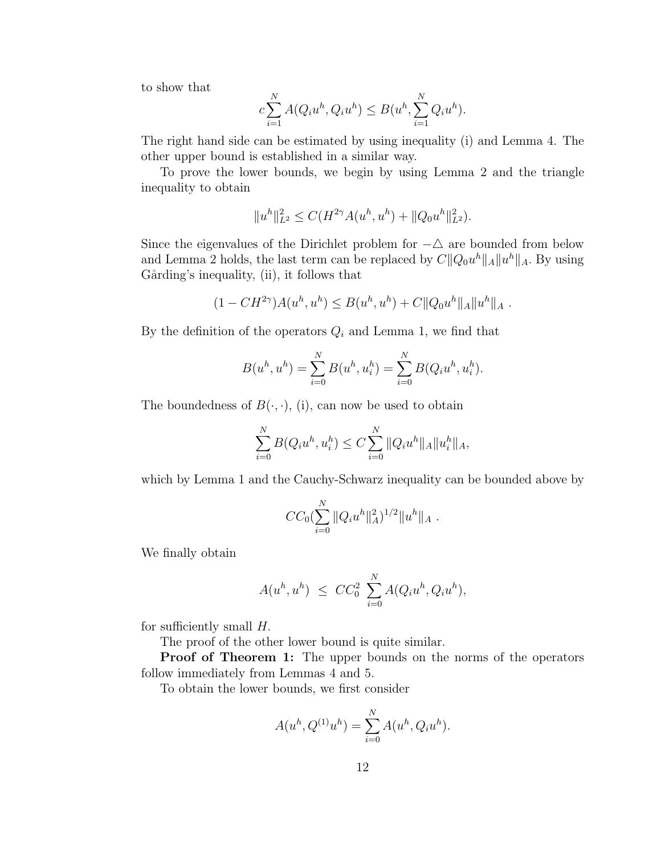to show that

$$
c\sum_{i=1}^{N} A(Q_i u^h, Q_i u^h) \le B(u^h, \sum_{i=1}^{N} Q_i u^h).
$$

The right hand side can be estimated by using inequality (i) and Lemma 4. The other upper bound is established in a similar way.

To prove the lower bounds, we begin by using Lemma 2 and the triangle inequality to obtain

$$
||u^h||_{L^2}^2 \le C(H^{2\gamma}A(u^h, u^h) + ||Q_0u^h||_{L^2}^2).
$$

Since the eigenvalues of the Dirichlet problem for  $-\triangle$  are bounded from below and Lemma 2 holds, the last term can be replaced by  $C||Q_0u^h||_A||u^h||_A$ . By using Gårding's inequality, (ii), it follows that

$$
(1 - CH^{2\gamma})A(u^h, u^h) \leq B(u^h, u^h) + C ||Q_0 u^h||_A ||u^h||_A.
$$

By the definition of the operators  $Q_i$  and Lemma 1, we find that

$$
B(u^h, u^h) = \sum_{i=0}^{N} B(u^h, u_i^h) = \sum_{i=0}^{N} B(Q_i u^h, u_i^h).
$$

The boundedness of  $B(\cdot, \cdot)$ , (i), can now be used to obtain

$$
\sum_{i=0}^{N} B(Q_i u^h, u_i^h) \le C \sum_{i=0}^{N} ||Q_i u^h||_A ||u_i^h||_A,
$$

which by Lemma 1 and the Cauchy-Schwarz inequality can be bounded above by

$$
CC_0\left(\sum_{i=0}^N \|Q_i u^h\|_A^2\right)^{1/2} \|u^h\|_A.
$$

We finally obtain

$$
A(u^h, u^h) \leq C C_0^2 \sum_{i=0}^N A(Q_i u^h, Q_i u^h),
$$

for sufficiently small  $H$ .

The proof of the other lower bound is quite similar.

**Proof of Theorem 1:** The upper bounds on the norms of the operators follow immediately from Lemmas 4 and 5.

To obtain the lower bounds, we first consider

$$
A(u^h, Q^{(1)}u^h) = \sum_{i=0}^{N} A(u^h, Q_i u^h).
$$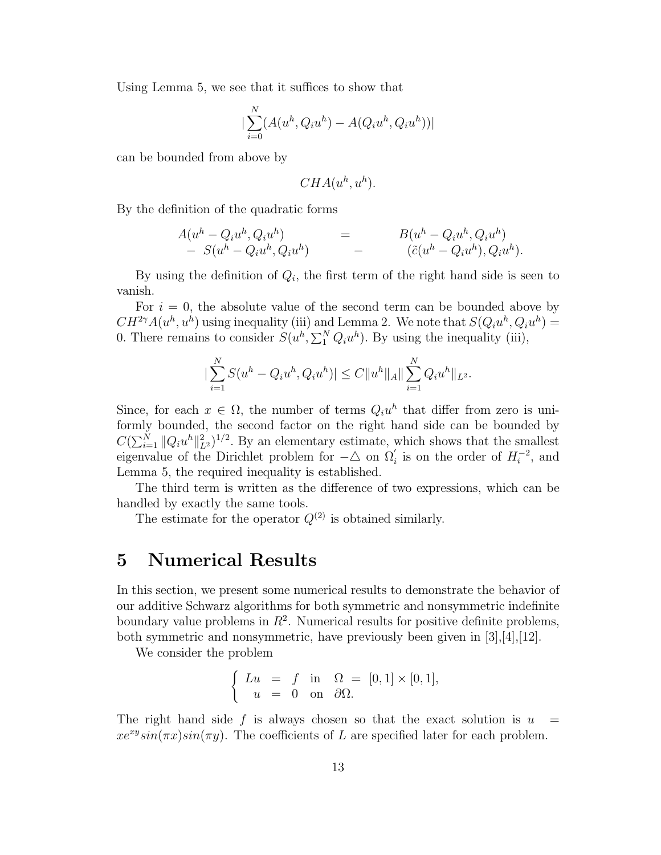Using Lemma 5, we see that it suffices to show that

$$
\left| \sum_{i=0}^{N} (A(u^{h}, Q_{i}u^{h}) - A(Q_{i}u^{h}, Q_{i}u^{h})) \right|
$$

can be bounded from above by

$$
CHA(u^h, u^h).
$$

By the definition of the quadratic forms

$$
A(u^{h} - Q_{i}u^{h}, Q_{i}u^{h}) = B(u^{h} - Q_{i}u^{h}, Q_{i}u^{h}) - S(u^{h} - Q_{i}u^{h}, Q_{i}u^{h}) - (\tilde{c}(u^{h} - Q_{i}u^{h}), Q_{i}u^{h}).
$$

By using the definition of  $Q_i$ , the first term of the right hand side is seen to vanish.

For  $i = 0$ , the absolute value of the second term can be bounded above by  $CH^{2\gamma}A(u^h, u^h)$  using inequality (iii) and Lemma 2. We note that  $S(Q_iu^h, Q_iu^h) =$ 0. There remains to consider  $S(u^h, \sum_1^N Q_i u^h)$ . By using the inequality (iii),

$$
\left|\sum_{i=1}^N S(u^h - Q_i u^h, Q_i u^h)\right| \le C \|u^h\|_A \|\sum_{i=1}^N Q_i u^h\|_{L^2}.
$$

Since, for each  $x \in \Omega$ , the number of terms  $Q_i u^h$  that differ from zero is uniformly bounded, the second factor on the right hand side can be bounded by  $C(\sum_{i=1}^N ||Q_i u^h||^2_{L^2})^{1/2}$ . By an elementary estimate, which shows that the smallest eigenvalue of the Dirichlet problem for  $-\triangle$  on  $\Omega_i'$  is on the order of  $H_i^{-2}$ , and Lemma 5, the required inequality is established.

The third term is written as the difference of two expressions, which can be handled by exactly the same tools.

The estimate for the operator  $Q^{(2)}$  is obtained similarly.

#### **5 Numerical Results**

In this section, we present some numerical results to demonstrate the behavior of our additive Schwarz algorithms for both symmetric and nonsymmetric indefinite boundary value problems in  $R^2$ . Numerical results for positive definite problems, both symmetric and nonsymmetric, have previously been given in [3],[4],[12].

We consider the problem

$$
\begin{cases}\nLu &= f \text{ in } \Omega = [0,1] \times [0,1], \\
u &= 0 \text{ on } \partial\Omega.\n\end{cases}
$$

The right hand side f is always chosen so that the exact solution is  $u =$  $xe^{xy}sin(\pi x)sin(\pi y)$ . The coefficients of L are specified later for each problem.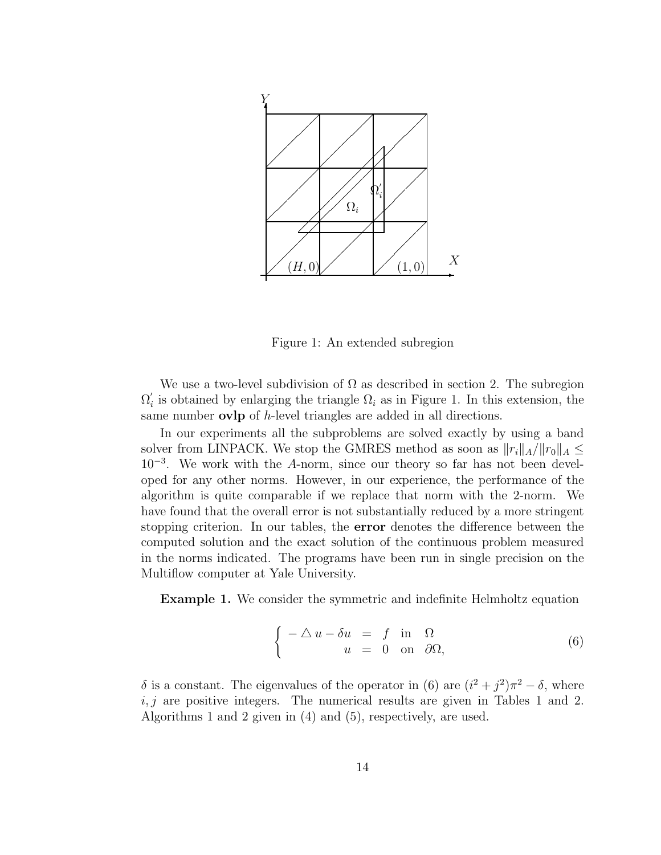

Figure 1: An extended subregion

We use a two-level subdivision of  $\Omega$  as described in section 2. The subregion  $\Omega'_{i}$  is obtained by enlarging the triangle  $\Omega_{i}$  as in Figure 1. In this extension, the same number **ovlp** of h-level triangles are added in all directions.

In our experiments all the subproblems are solved exactly by using a band solver from LINPACK. We stop the GMRES method as soon as  $||r_i||_A/||r_0||_A \leq$ 10−<sup>3</sup>. We work with the A-norm, since our theory so far has not been developed for any other norms. However, in our experience, the performance of the algorithm is quite comparable if we replace that norm with the 2-norm. We have found that the overall error is not substantially reduced by a more stringent stopping criterion. In our tables, the **error** denotes the difference between the computed solution and the exact solution of the continuous problem measured in the norms indicated. The programs have been run in single precision on the Multiflow computer at Yale University.

**Example 1.** We consider the symmetric and indefinite Helmholtz equation

$$
\begin{cases}\n-\Delta u - \delta u &= f \text{ in } \Omega \\
u &= 0 \text{ on } \partial\Omega,\n\end{cases}
$$
\n(6)

δ is a constant. The eigenvalues of the operator in (6) are  $(i^2 + j^2)\pi^2 - \delta$ , where  $i, j$  are positive integers. The numerical results are given in Tables 1 and 2. Algorithms 1 and 2 given in (4) and (5), respectively, are used.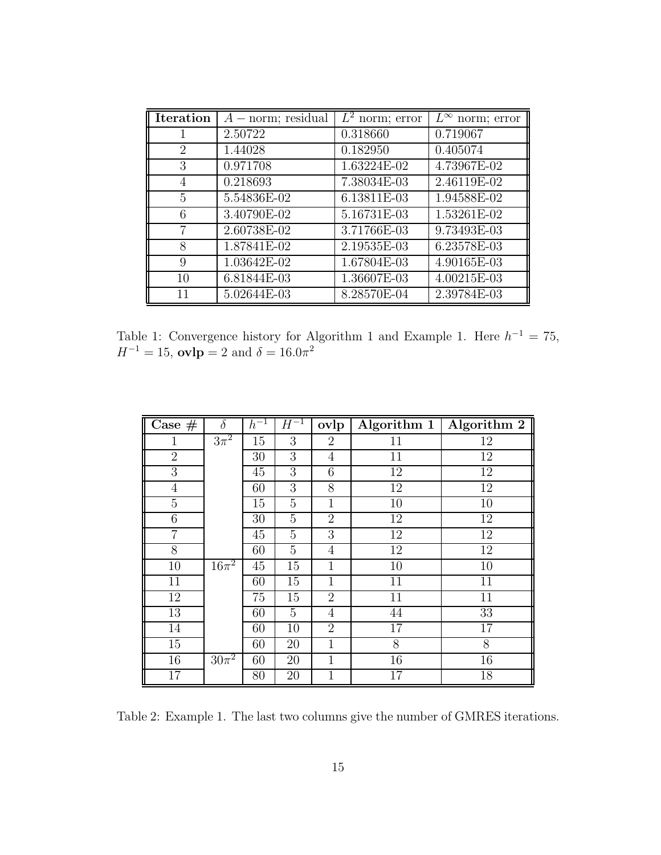| <b>Iteration</b>            | $A$ – norm; residual | $\overline{L}^2$ norm; error | $\overline{L^{\infty}}$ norm; error |
|-----------------------------|----------------------|------------------------------|-------------------------------------|
|                             | 2.50722              | 0.318660                     | 0.719067                            |
| $\mathcal{D}_{\mathcal{L}}$ | 1.44028              | 0.182950                     | 0.405074                            |
| 3                           | 0.971708             | 1.63224E-02                  | 4.73967E-02                         |
| 4                           | 0.218693             | 7.38034E-03                  | 2.46119E-02                         |
| 5                           | 5.54836E-02          | 6.13811E-03                  | 1.94588E-02                         |
| 6                           | 3.40790E-02          | 5.16731E-03                  | 1.53261E-02                         |
|                             | 2.60738E-02          | 3.71766E-03                  | 9.73493E-03                         |
| 8                           | 1.87841E-02          | 2.19535E-03                  | 6.23578E-03                         |
| 9                           | 1.03642E-02          | 1.67804E-03                  | 4.90165E-03                         |
| 10                          | 6.81844E-03          | 1.36607E-03                  | 4.00215E-03                         |
| 11                          | 5.02644E-03          | 8.28570E-04                  | 2.39784E-03                         |

Table 1: Convergence history for Algorithm 1 and Example 1. Here  $h^{-1} = 75$ ,  $H^{-1} = 15$ , **ovlp** = 2 and  $\delta = 16.0\pi^2$ 

| Case $#$        | $\delta$             | $h^{-1}$        | $H^{-1}$ | ovlp           | Algorithm 1     | Algorithm 2     |
|-----------------|----------------------|-----------------|----------|----------------|-----------------|-----------------|
| $\mathbf 1$     | $3\pi^2$             | 15              | 3        | $\overline{2}$ | 11              | 12              |
| $\overline{2}$  |                      | 30              | 3        | 4              | $\overline{11}$ | $\overline{12}$ |
| $\overline{3}$  |                      | 45              | 3        | $\overline{6}$ | 12              | $\overline{12}$ |
| $\overline{4}$  |                      | 60              | 3        | 8              | 12              | 12              |
| $\overline{5}$  |                      | 15              | 5        | $\mathbf{1}$   | 10              | 10              |
| $\overline{6}$  |                      | 30              | 5        | $\overline{2}$ | $\overline{12}$ | $\overline{12}$ |
| $\overline{7}$  |                      | 45              | 5        | 3              | 12              | 12              |
| 8               |                      | 60              | 5        | 4              | $\overline{12}$ | 12              |
| 10              | $16\pi^2$            | 45              | 15       | $\mathbf 1$    | 10              | 10              |
| 11              |                      | 60              | 15       | 1              | 11              | 11              |
| 12              |                      | $\overline{75}$ | 15       | $\overline{2}$ | $\overline{11}$ | $\overline{11}$ |
| $\overline{13}$ |                      | 60              | 5        | 4              | 44              | $\overline{33}$ |
| $\overline{14}$ |                      | 60              | 10       | $\overline{2}$ | $\overline{17}$ | $\overline{17}$ |
| $\overline{15}$ |                      | 60              | 20       | $\overline{1}$ | 8               | 8               |
| 16              | $30\overline{\pi^2}$ | 60              | 20       | 1              | 16              | 16              |
| 17              |                      | 80              | 20       | 1              | 17              | 18              |

Table 2: Example 1. The last two columns give the number of GMRES iterations.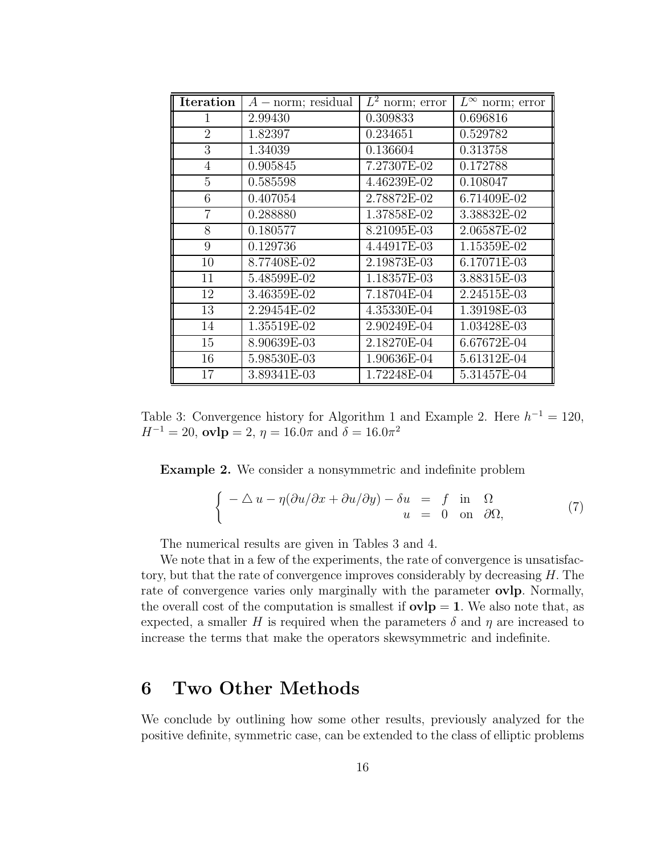| <b>Iteration</b> | $A$ – norm; residual | $L^2$ norm; error | $L^{\infty}$ norm; error |
|------------------|----------------------|-------------------|--------------------------|
| 1                | 2.99430              | 0.309833          | 0.696816                 |
| $\overline{2}$   | 1.82397              | 0.234651          | 0.529782                 |
| 3                | 1.34039              | 0.136604          | 0.313758                 |
| 4                | 0.905845             | 7.27307E-02       | 0.172788                 |
| 5                | 0.585598             | 4.46239E-02       | 0.108047                 |
| 6                | 0.407054             | 2.78872E-02       | 6.71409E-02              |
| $\overline{7}$   | 0.288880             | 1.37858E-02       | 3.38832E-02              |
| 8                | 0.180577             | 8.21095E-03       | 2.06587E-02              |
| 9                | 0.129736             | 4.44917E-03       | 1.15359E-02              |
| 10               | 8.77408E-02          | 2.19873E-03       | 6.17071E-03              |
| 11               | 5.48599E-02          | 1.18357E-03       | 3.88315E-03              |
| 12               | 3.46359E-02          | 7.18704E-04       | 2.24515E-03              |
| 13               | 2.29454E-02          | 4.35330E-04       | 1.39198E-03              |
| 14               | 1.35519E-02          | 2.90249E-04       | 1.03428E-03              |
| 15               | 8.90639E-03          | 2.18270E-04       | 6.67672E-04              |
| 16               | 5.98530E-03          | 1.90636E-04       | 5.61312E-04              |
| 17               | 3.89341E-03          | 1.72248E-04       | 5.31457E-04              |

Table 3: Convergence history for Algorithm 1 and Example 2. Here  $h^{-1} = 120$ ,  $H^{-1} = 20$ , **ovlp** = 2,  $\eta = 16.0\pi$  and  $\delta = 16.0\pi^2$ 

**Example 2.** We consider a nonsymmetric and indefinite problem

$$
\begin{cases}\n-\Delta u - \eta(\partial u/\partial x + \partial u/\partial y) - \delta u & = f \text{ in } \Omega \\
u & = 0 \text{ on } \partial\Omega,\n\end{cases}
$$
\n(7)

The numerical results are given in Tables 3 and 4.

We note that in a few of the experiments, the rate of convergence is unsatisfactory, but that the rate of convergence improves considerably by decreasing H. The rate of convergence varies only marginally with the parameter **ovlp**. Normally, the overall cost of the computation is smallest if  $ovlp = 1$ . We also note that, as expected, a smaller H is required when the parameters  $\delta$  and  $\eta$  are increased to increase the terms that make the operators skewsymmetric and indefinite.

#### **6 Two Other Methods**

We conclude by outlining how some other results, previously analyzed for the positive definite, symmetric case, can be extended to the class of elliptic problems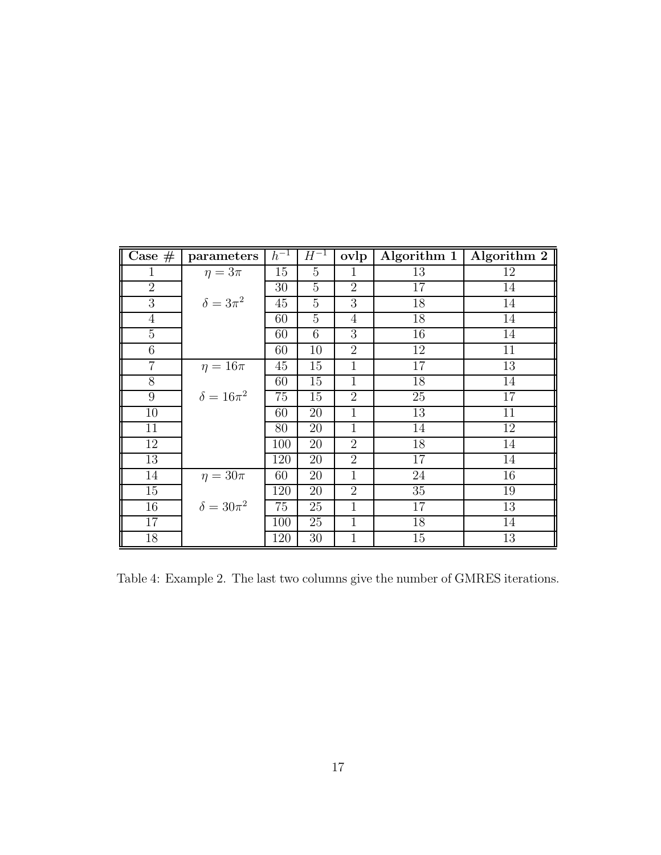| Case $#$        | parameters         | $h^{-1}$ | $H^{-1}$       | ovlp           | Algorithm 1 | Algorithm 2     |
|-----------------|--------------------|----------|----------------|----------------|-------------|-----------------|
| 1               | $\eta = 3\pi$      | 15       | $\overline{5}$ | $\mathbf{1}$   | 13          | 12              |
| $\overline{2}$  |                    | 30       | $\overline{5}$ | $\overline{2}$ | 17          | 14              |
| $\overline{3}$  | $\delta = 3\pi^2$  | 45       | $\overline{5}$ | $\overline{3}$ | 18          | $\overline{14}$ |
| $\overline{4}$  |                    | 60       | 5              | $\overline{4}$ | 18          | 14              |
| $\overline{5}$  |                    | 60       | 6              | 3              | 16          | 14              |
| 6               |                    | 60       | 10             | $\overline{2}$ | 12          | 11              |
| 7               | $\eta = 16\pi$     | 45       | 15             | 1              | 17          | 13              |
| 8               |                    | 60       | 15             | $\mathbf{1}$   | 18          | 14              |
| 9               | $\delta = 16\pi^2$ | 75       | 15             | $\overline{2}$ | 25          | 17              |
| 10              |                    | 60       | 20             | $\mathbf 1$    | 13          | 11              |
| 11              |                    | 80       | 20             | $\mathbf{1}$   | 14          | 12              |
| 12              |                    | 100      | 20             | $\overline{2}$ | 18          | 14              |
| 13              |                    | 120      | 20             | $\overline{2}$ | 17          | 14              |
| 14              | $\eta = 30\pi$     | 60       | 20             | $\mathbf{1}$   | 24          | 16              |
| 15              |                    | 120      | 20             | $\overline{2}$ | 35          | 19              |
| 16              | $\delta = 30\pi^2$ | 75       | 25             | $\mathbf{1}$   | 17          | 13              |
| $\overline{17}$ |                    | 100      | 25             | $\overline{1}$ | 18          | 14              |
| 18              |                    | 120      | 30             | 1              | 15          | 13              |

Table 4: Example 2. The last two columns give the number of GMRES iterations.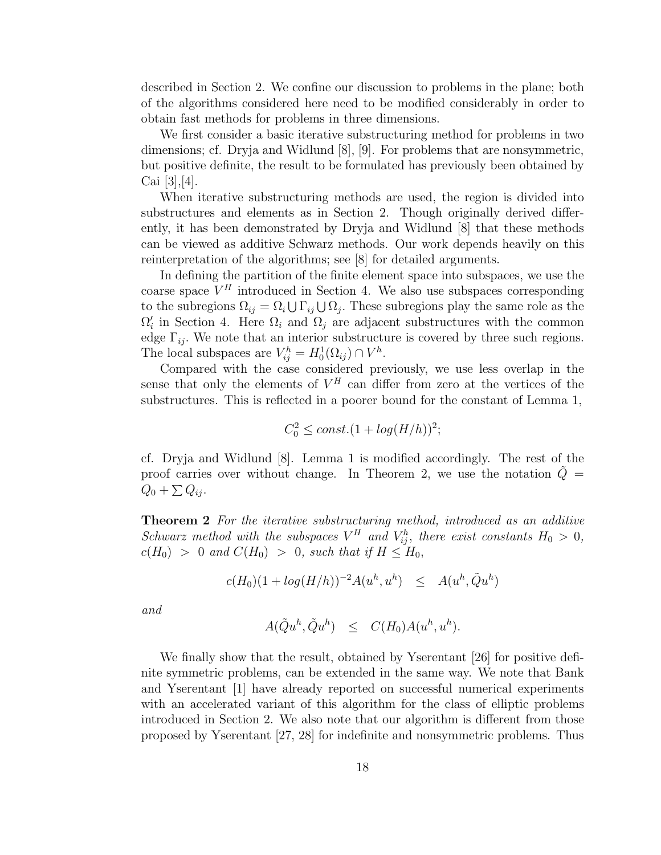described in Section 2. We confine our discussion to problems in the plane; both of the algorithms considered here need to be modified considerably in order to obtain fast methods for problems in three dimensions.

We first consider a basic iterative substructuring method for problems in two dimensions; cf. Dryja and Widlund [8], [9]. For problems that are nonsymmetric, but positive definite, the result to be formulated has previously been obtained by Cai  $|3|,|4|$ .

When iterative substructuring methods are used, the region is divided into substructures and elements as in Section 2. Though originally derived differently, it has been demonstrated by Dryja and Widlund [8] that these methods can be viewed as additive Schwarz methods. Our work depends heavily on this reinterpretation of the algorithms; see [8] for detailed arguments.

In defining the partition of the finite element space into subspaces, we use the coarse space  $V^H$  introduced in Section 4. We also use subspaces corresponding to the subregions  $\Omega_{ij} = \Omega_i \cup \Gamma_{ij} \cup \Omega_j$ . These subregions play the same role as the  $\Omega_i'$  in Section 4. Here  $\Omega_i$  and  $\Omega_j$  are adjacent substructures with the common edge  $\Gamma_{ij}$ . We note that an interior substructure is covered by three such regions. The local subspaces are  $V_{ij}^h = H_0^1(\Omega_{ij}) \cap V^h$ .

Compared with the case considered previously, we use less overlap in the sense that only the elements of  $V^H$  can differ from zero at the vertices of the substructures. This is reflected in a poorer bound for the constant of Lemma 1,

$$
C_0^2 \le const. (1 + log(H/h))^2;
$$

cf. Dryja and Widlund [8]. Lemma 1 is modified accordingly. The rest of the proof carries over without change. In Theorem 2, we use the notation  $\tilde{Q} =$  $Q_0 + \sum Q_{ij}$ .

**Theorem 2** For the iterative substructuring method, introduced as an additive Schwarz method with the subspaces  $V^H$  and  $V_{ij}^h$ , there exist constants  $H_0 > 0$ ,  $c(H_0) > 0$  and  $C(H_0) > 0$ , such that if  $H \leq H_0$ ,

$$
c(H_0)(1 + \log(H/h))^{-2}A(u^h, u^h) \leq A(u^h, \tilde{Q}u^h)
$$

and

$$
A(\tilde{Q}u^h, \tilde{Q}u^h) \leq C(H_0)A(u^h, u^h).
$$

We finally show that the result, obtained by Yserentant [26] for positive definite symmetric problems, can be extended in the same way. We note that Bank and Yserentant [1] have already reported on successful numerical experiments with an accelerated variant of this algorithm for the class of elliptic problems introduced in Section 2. We also note that our algorithm is different from those proposed by Yserentant [27, 28] for indefinite and nonsymmetric problems. Thus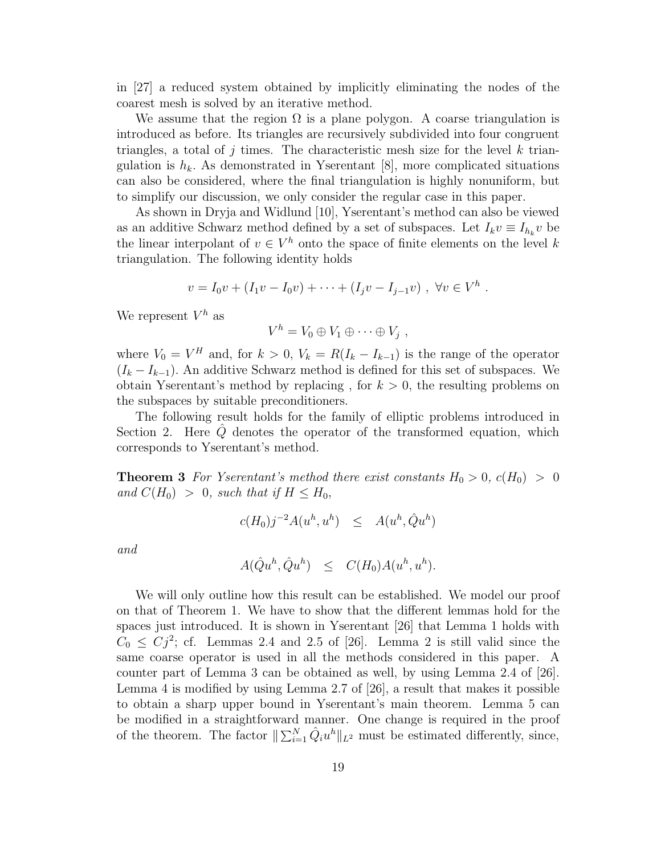in [27] a reduced system obtained by implicitly eliminating the nodes of the coarest mesh is solved by an iterative method.

We assume that the region  $\Omega$  is a plane polygon. A coarse triangulation is introduced as before. Its triangles are recursively subdivided into four congruent triangles, a total of j times. The characteristic mesh size for the level k triangulation is  $h_k$ . As demonstrated in Yserentant [8], more complicated situations can also be considered, where the final triangulation is highly nonuniform, but to simplify our discussion, we only consider the regular case in this paper.

As shown in Dryja and Widlund [10], Yserentant's method can also be viewed as an additive Schwarz method defined by a set of subspaces. Let  $I_k v \equiv I_{h_k} v$  be the linear interpolant of  $v \in V^h$  onto the space of finite elements on the level k triangulation. The following identity holds

$$
v = I_0 v + (I_1 v - I_0 v) + \cdots + (I_j v - I_{j-1} v) , \forall v \in V^h.
$$

We represent  $V^h$  as

$$
V^h = V_0 \oplus V_1 \oplus \cdots \oplus V_j ,
$$

where  $V_0 = V^H$  and, for  $k > 0$ ,  $V_k = R(I_k - I_{k-1})$  is the range of the operator  $(I_k - I_{k-1})$ . An additive Schwarz method is defined for this set of subspaces. We obtain Yserentant's method by replacing, for  $k > 0$ , the resulting problems on the subspaces by suitable preconditioners.

The following result holds for the family of elliptic problems introduced in Section 2. Here  $\dot{Q}$  denotes the operator of the transformed equation, which corresponds to Yserentant's method.

**Theorem 3** For Yserentant's method there exist constants  $H_0 > 0$ ,  $c(H_0) > 0$ and  $C(H_0) > 0$ , such that if  $H \leq H_0$ ,

$$
c(H_0)j^{-2}A(u^h,u^h) \leq A(u^h,\hat{Q}u^h)
$$

and

$$
A(\hat{Q}u^h, \hat{Q}u^h) \leq C(H_0)A(u^h, u^h).
$$

We will only outline how this result can be established. We model our proof on that of Theorem 1. We have to show that the different lemmas hold for the spaces just introduced. It is shown in Yserentant [26] that Lemma 1 holds with  $C_0 \leq C_1^2$ ; cf. Lemmas 2.4 and 2.5 of [26]. Lemma 2 is still valid since the same coarse operator is used in all the methods considered in this paper. A counter part of Lemma 3 can be obtained as well, by using Lemma 2.4 of [26]. Lemma 4 is modified by using Lemma 2.7 of [26], a result that makes it possible to obtain a sharp upper bound in Yserentant's main theorem. Lemma 5 can be modified in a straightforward manner. One change is required in the proof of the theorem. The factor  $||\sum_{i=1}^{N} \hat{Q}_i u^h||_{L^2}$  must be estimated differently, since,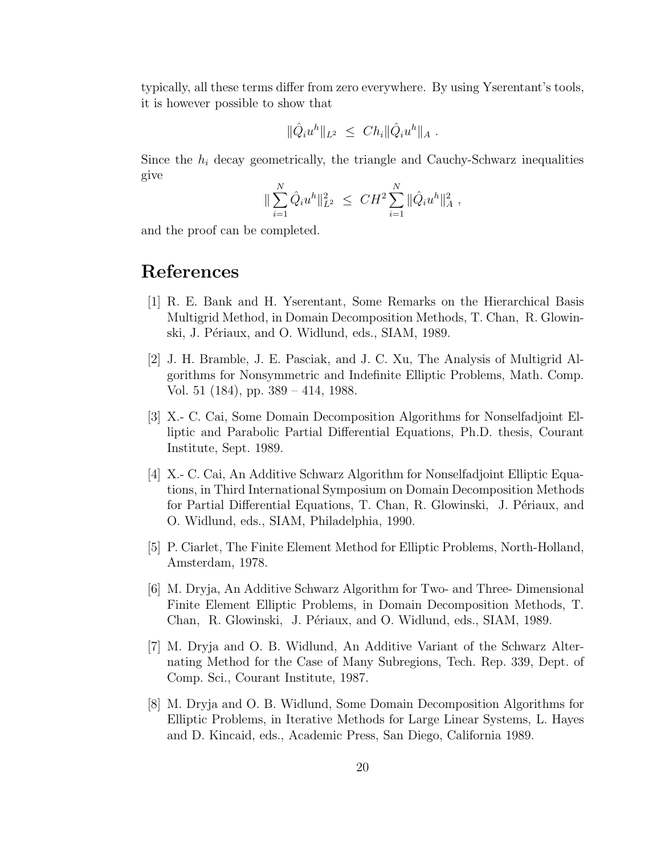typically, all these terms differ from zero everywhere. By using Yserentant's tools, it is however possible to show that

$$
\|\hat{Q}_i u^h\|_{L^2} \ \leq \ Ch_i \|\hat{Q}_i u^h\|_{A} \ .
$$

Since the  $h_i$  decay geometrically, the triangle and Cauchy-Schwarz inequalities give

$$
\|\sum_{i=1}^N \hat{Q}_i u^h\|_{L^2}^2 \leq C H^2 \sum_{i=1}^N \|\hat{Q}_i u^h\|_{A}^2,
$$

and the proof can be completed.

## **References**

- [1] R. E. Bank and H. Yserentant, Some Remarks on the Hierarchical Basis Multigrid Method, in Domain Decomposition Methods, T. Chan, R. Glowinski, J. Périaux, and O. Widlund, eds., SIAM, 1989.
- [2] J. H. Bramble, J. E. Pasciak, and J. C. Xu, The Analysis of Multigrid Algorithms for Nonsymmetric and Indefinite Elliptic Problems, Math. Comp. Vol. 51 (184), pp. 389 – 414, 1988.
- [3] X.- C. Cai, Some Domain Decomposition Algorithms for Nonselfadjoint Elliptic and Parabolic Partial Differential Equations, Ph.D. thesis, Courant Institute, Sept. 1989.
- [4] X.- C. Cai, An Additive Schwarz Algorithm for Nonselfadjoint Elliptic Equations, in Third International Symposium on Domain Decomposition Methods for Partial Differential Equations, T. Chan, R. Glowinski, J. Périaux, and O. Widlund, eds., SIAM, Philadelphia, 1990.
- [5] P. Ciarlet, The Finite Element Method for Elliptic Problems, North-Holland, Amsterdam, 1978.
- [6] M. Dryja, An Additive Schwarz Algorithm for Two- and Three- Dimensional Finite Element Elliptic Problems, in Domain Decomposition Methods, T. Chan, R. Glowinski, J. Périaux, and O. Widlund, eds., SIAM, 1989.
- [7] M. Dryja and O. B. Widlund, An Additive Variant of the Schwarz Alternating Method for the Case of Many Subregions, Tech. Rep. 339, Dept. of Comp. Sci., Courant Institute, 1987.
- [8] M. Dryja and O. B. Widlund, Some Domain Decomposition Algorithms for Elliptic Problems, in Iterative Methods for Large Linear Systems, L. Hayes and D. Kincaid, eds., Academic Press, San Diego, California 1989.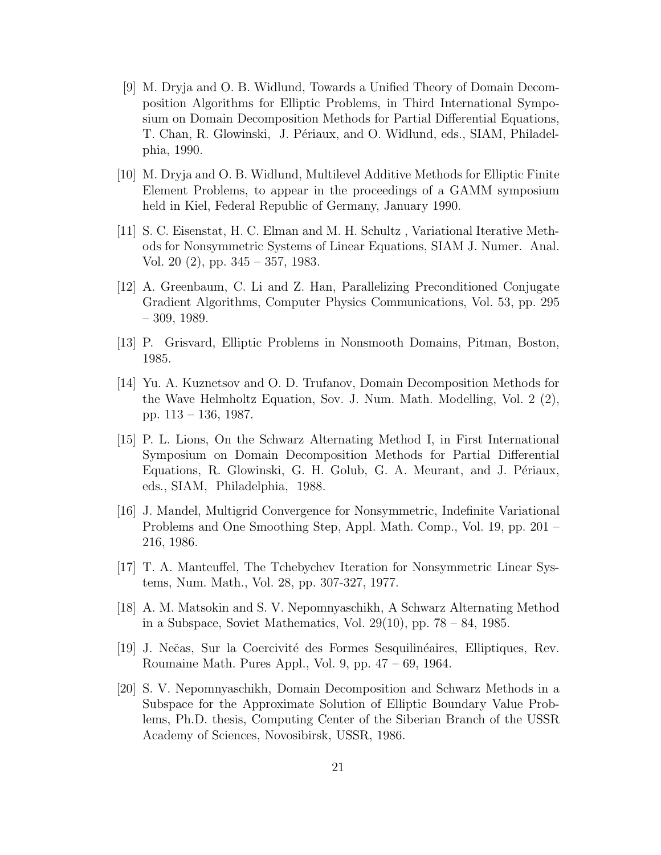- [9] M. Dryja and O. B. Widlund, Towards a Unified Theory of Domain Decomposition Algorithms for Elliptic Problems, in Third International Symposium on Domain Decomposition Methods for Partial Differential Equations, T. Chan, R. Glowinski, J. Périaux, and O. Widlund, eds., SIAM, Philadelphia, 1990.
- [10] M. Dryja and O. B. Widlund, Multilevel Additive Methods for Elliptic Finite Element Problems, to appear in the proceedings of a GAMM symposium held in Kiel, Federal Republic of Germany, January 1990.
- [11] S. C. Eisenstat, H. C. Elman and M. H. Schultz , Variational Iterative Methods for Nonsymmetric Systems of Linear Equations, SIAM J. Numer. Anal. Vol. 20 (2), pp. 345 – 357, 1983.
- [12] A. Greenbaum, C. Li and Z. Han, Parallelizing Preconditioned Conjugate Gradient Algorithms, Computer Physics Communications, Vol. 53, pp. 295 – 309, 1989.
- [13] P. Grisvard, Elliptic Problems in Nonsmooth Domains, Pitman, Boston, 1985.
- [14] Yu. A. Kuznetsov and O. D. Trufanov, Domain Decomposition Methods for the Wave Helmholtz Equation, Sov. J. Num. Math. Modelling, Vol. 2 (2), pp. 113 – 136, 1987.
- [15] P. L. Lions, On the Schwarz Alternating Method I, in First International Symposium on Domain Decomposition Methods for Partial Differential Equations, R. Glowinski, G. H. Golub, G. A. Meurant, and J. Périaux, eds., SIAM, Philadelphia, 1988.
- [16] J. Mandel, Multigrid Convergence for Nonsymmetric, Indefinite Variational Problems and One Smoothing Step, Appl. Math. Comp., Vol. 19, pp. 201 – 216, 1986.
- [17] T. A. Manteuffel, The Tchebychev Iteration for Nonsymmetric Linear Systems, Num. Math., Vol. 28, pp. 307-327, 1977.
- [18] A. M. Matsokin and S. V. Nepomnyaschikh, A Schwarz Alternating Method in a Subspace, Soviet Mathematics, Vol.  $29(10)$ , pp.  $78 - 84$ , 1985.
- [19] J. Neˇcas, Sur la Coercivit´e des Formes Sesquilin´eaires, Elliptiques, Rev. Roumaine Math. Pures Appl., Vol. 9, pp. 47 – 69, 1964.
- [20] S. V. Nepomnyaschikh, Domain Decomposition and Schwarz Methods in a Subspace for the Approximate Solution of Elliptic Boundary Value Problems, Ph.D. thesis, Computing Center of the Siberian Branch of the USSR Academy of Sciences, Novosibirsk, USSR, 1986.